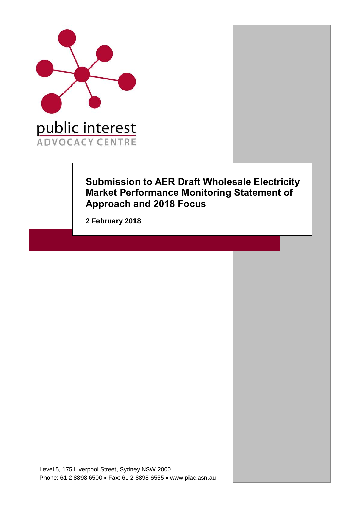

## **Submission to AER Draft Wholesale Electricity Market Performance Monitoring Statement of Approach and 2018 Focus**

**2 February 2018**

Level 5, 175 Liverpool Street, Sydney NSW 2000 Phone: 61 2 8898 6500 • Fax: 61 2 8898 6555 • www.piac.asn.au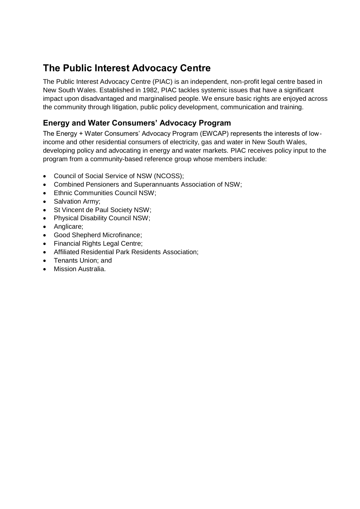# **The Public Interest Advocacy Centre**

The Public Interest Advocacy Centre (PIAC) is an independent, non-profit legal centre based in New South Wales. Established in 1982, PIAC tackles systemic issues that have a significant impact upon disadvantaged and marginalised people. We ensure basic rights are enjoyed across the community through litigation, public policy development, communication and training.

## **Energy and Water Consumers' Advocacy Program**

The Energy + Water Consumers' Advocacy Program (EWCAP) represents the interests of lowincome and other residential consumers of electricity, gas and water in New South Wales, developing policy and advocating in energy and water markets. PIAC receives policy input to the program from a community-based reference group whose members include:

- Council of Social Service of NSW (NCOSS);
- Combined Pensioners and Superannuants Association of NSW;
- Ethnic Communities Council NSW;
- Salvation Army;
- St Vincent de Paul Society NSW;
- Physical Disability Council NSW;
- Anglicare;
- Good Shepherd Microfinance;
- Financial Rights Legal Centre;
- Affiliated Residential Park Residents Association;
- Tenants Union; and
- Mission Australia.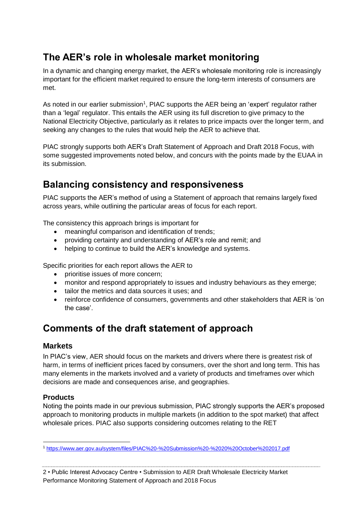# **The AER's role in wholesale market monitoring**

In a dynamic and changing energy market, the AER's wholesale monitoring role is increasingly important for the efficient market required to ensure the long-term interests of consumers are met.

As noted in our earlier submission<sup>1</sup>, PIAC supports the AER being an 'expert' regulator rather than a 'legal' regulator. This entails the AER using its full discretion to give primacy to the National Electricity Objective, particularly as it relates to price impacts over the longer term, and seeking any changes to the rules that would help the AER to achieve that.

PIAC strongly supports both AER's Draft Statement of Approach and Draft 2018 Focus, with some suggested improvements noted below, and concurs with the points made by the EUAA in its submission.

## **Balancing consistency and responsiveness**

PIAC supports the AER's method of using a Statement of approach that remains largely fixed across years, while outlining the particular areas of focus for each report.

The consistency this approach brings is important for

- meaningful comparison and identification of trends;
- providing certainty and understanding of AER's role and remit; and
- helping to continue to build the AER's knowledge and systems.

Specific priorities for each report allows the AER to

- prioritise issues of more concern;
- monitor and respond appropriately to issues and industry behaviours as they emerge:
- tailor the metrics and data sources it uses; and
- reinforce confidence of consumers, governments and other stakeholders that AER is 'on the case'.

## **Comments of the draft statement of approach**

### **Markets**

In PIAC's view, AER should focus on the markets and drivers where there is greatest risk of harm, in terms of inefficient prices faced by consumers, over the short and long term. This has many elements in the markets involved and a variety of products and timeframes over which decisions are made and consequences arise, and geographies.

## **Products**

Noting the points made in our previous submission, PIAC strongly supports the AER's proposed approach to monitoring products in multiple markets (in addition to the spot market) that affect wholesale prices. PIAC also supports considering outcomes relating to the RET

<sup>1</sup> <https://www.aer.gov.au/system/files/PIAC%20-%20Submission%20-%2020%20October%202017.pdf>

<sup>2</sup> • Public Interest Advocacy Centre • Submission to AER Draft Wholesale Electricity Market Performance Monitoring Statement of Approach and 2018 Focus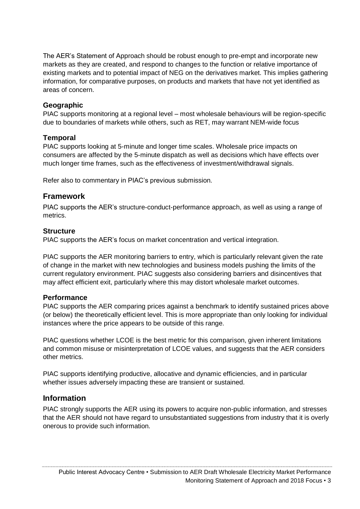The AER's Statement of Approach should be robust enough to pre-empt and incorporate new markets as they are created, and respond to changes to the function or relative importance of existing markets and to potential impact of NEG on the derivatives market. This implies gathering information, for comparative purposes, on products and markets that have not yet identified as areas of concern.

### **Geographic**

PIAC supports monitoring at a regional level – most wholesale behaviours will be region-specific due to boundaries of markets while others, such as RET, may warrant NEM-wide focus

### **Temporal**

PIAC supports looking at 5-minute and longer time scales. Wholesale price impacts on consumers are affected by the 5-minute dispatch as well as decisions which have effects over much longer time frames, such as the effectiveness of investment/withdrawal signals.

Refer also to commentary in PIAC's previous submission.

## **Framework**

PIAC supports the AER's structure-conduct-performance approach, as well as using a range of metrics.

### **Structure**

PIAC supports the AER's focus on market concentration and vertical integration.

PIAC supports the AER monitoring barriers to entry, which is particularly relevant given the rate of change in the market with new technologies and business models pushing the limits of the current regulatory environment. PIAC suggests also considering barriers and disincentives that may affect efficient exit, particularly where this may distort wholesale market outcomes.

### **Performance**

PIAC supports the AER comparing prices against a benchmark to identify sustained prices above (or below) the theoretically efficient level. This is more appropriate than only looking for individual instances where the price appears to be outside of this range.

PIAC questions whether LCOE is the best metric for this comparison, given inherent limitations and common misuse or misinterpretation of LCOE values, and suggests that the AER considers other metrics.

PIAC supports identifying productive, allocative and dynamic efficiencies, and in particular whether issues adversely impacting these are transient or sustained.

## **Information**

PIAC strongly supports the AER using its powers to acquire non-public information, and stresses that the AER should not have regard to unsubstantiated suggestions from industry that it is overly onerous to provide such information.